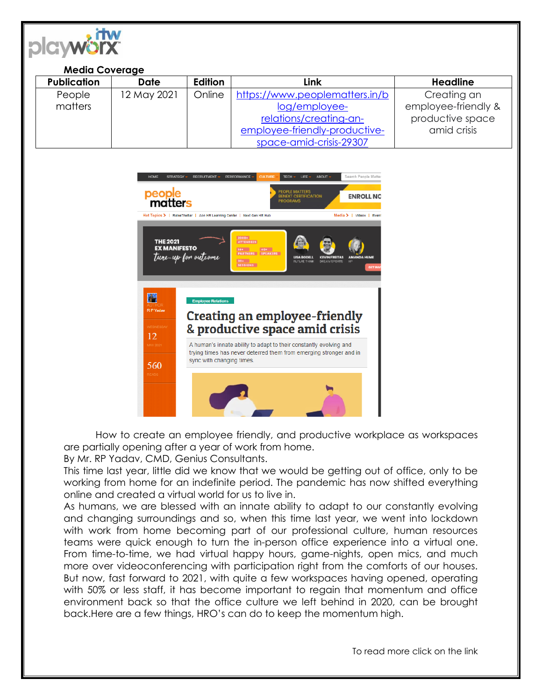

## **Media Coverage**

| <b>Publication</b> | <b>Date</b> | <b>Edition</b> | Link                           | <b>Headline</b>     |
|--------------------|-------------|----------------|--------------------------------|---------------------|
| People             | 12 May 2021 | Online         | https://www.peoplematters.in/b | Creating an         |
| matters            |             |                | log/employee-                  | employee-friendly & |
|                    |             |                | relations/creating-an-         | productive space    |
|                    |             |                | employee-friendly-productive-  | amid crisis         |
|                    |             |                | space-amid-crisis-29307        |                     |



How to create an employee friendly, and productive workplace as workspaces are partially opening after a year of work from home.

By Mr. RP Yadav, CMD, Genius Consultants.

This time last year, little did we know that we would be getting out of office, only to be working from home for an indefinite period. The pandemic has now shifted everything online and created a virtual world for us to live in.

As humans, we are blessed with an innate ability to adapt to our constantly evolving and changing surroundings and so, when this time last year, we went into lockdown with work from home becoming part of our professional culture, human resources teams were quick enough to turn the in-person office experience into a virtual one. From time-to-time, we had virtual happy hours, game-nights, open mics, and much more over videoconferencing with participation right from the comforts of our houses. But now, fast forward to 2021, with quite a few workspaces having opened, operating with 50% or less staff, it has become important to regain that momentum and office environment back so that the office culture we left behind in 2020, can be brought back.Here are a few things, HRO's can do to keep the momentum high.

To read more click on the link